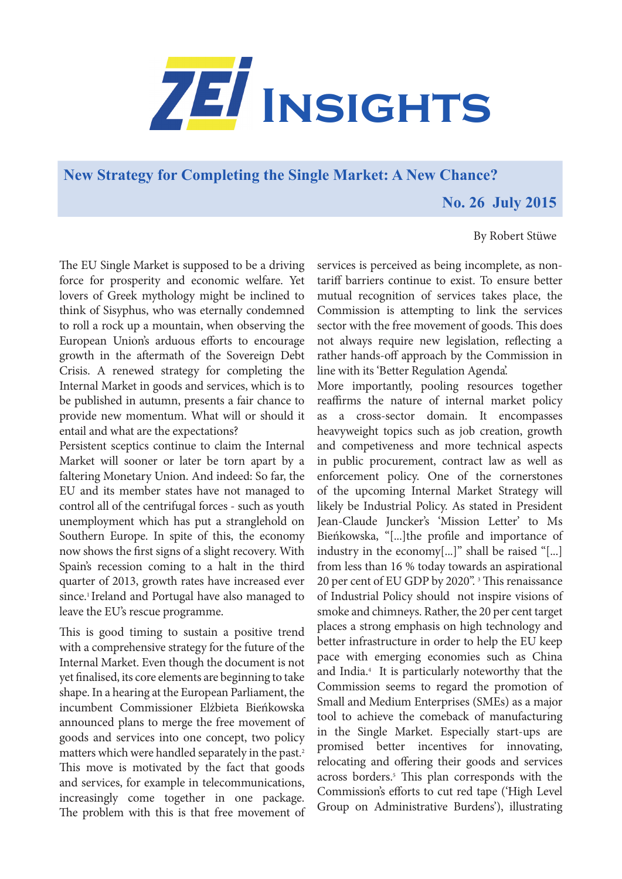

**New Strategy for Completing the Single Market: A New Chance?**

 **No. 26 July 2015**

## By Robert Stüwe

The EU Single Market is supposed to be a driving force for prosperity and economic welfare. Yet lovers of Greek mythology might be inclined to think of Sisyphus, who was eternally condemned to roll a rock up a mountain, when observing the European Union's arduous efforts to encourage growth in the aftermath of the Sovereign Debt Crisis. A renewed strategy for completing the Internal Market in goods and services, which is to be published in autumn, presents a fair chance to provide new momentum. What will or should it entail and what are the expectations?

Persistent sceptics continue to claim the Internal Market will sooner or later be torn apart by a faltering Monetary Union. And indeed: So far, the EU and its member states have not managed to control all of the centrifugal forces - such as youth unemployment which has put a stranglehold on Southern Europe. In spite of this, the economy now shows the first signs of a slight recovery. With Spain's recession coming to a halt in the third quarter of 2013, growth rates have increased ever since.<sup>1</sup> Ireland and Portugal have also managed to leave the EU's rescue programme.

This is good timing to sustain a positive trend with a comprehensive strategy for the future of the Internal Market. Even though the document is not yet finalised, its core elements are beginning to take shape. In a hearing at the European Parliament, the incumbent Commissioner Elżbieta Bieńkowska announced plans to merge the free movement of goods and services into one concept, two policy matters which were handled separately in the past.<sup>2</sup> This move is motivated by the fact that goods and services, for example in telecommunications, increasingly come together in one package. The problem with this is that free movement of

services is perceived as being incomplete, as nontariff barriers continue to exist. To ensure better mutual recognition of services takes place, the Commission is attempting to link the services sector with the free movement of goods. This does not always require new legislation, reflecting a rather hands-off approach by the Commission in line with its 'Better Regulation Agenda'.

More importantly, pooling resources together reaffirms the nature of internal market policy as a cross-sector domain. It encompasses heavyweight topics such as job creation, growth and competiveness and more technical aspects in public procurement, contract law as well as enforcement policy. One of the cornerstones of the upcoming Internal Market Strategy will likely be Industrial Policy. As stated in President Jean-Claude Juncker's 'Mission Letter' to Ms Bieńkowska, "[...]the profile and importance of industry in the economy[...]" shall be raised "[...] from less than 16 % today towards an aspirational 20 per cent of EU GDP by 2020". 3 This renaissance of Industrial Policy should not inspire visions of smoke and chimneys. Rather, the 20 per cent target places a strong emphasis on high technology and better infrastructure in order to help the EU keep pace with emerging economies such as China and India.4 It is particularly noteworthy that the Commission seems to regard the promotion of Small and Medium Enterprises (SMEs) as a major tool to achieve the comeback of manufacturing in the Single Market. Especially start-ups are promised better incentives for innovating, relocating and offering their goods and services across borders.<sup>5</sup> This plan corresponds with the Commission's efforts to cut red tape ('High Level Group on Administrative Burdens'), illustrating